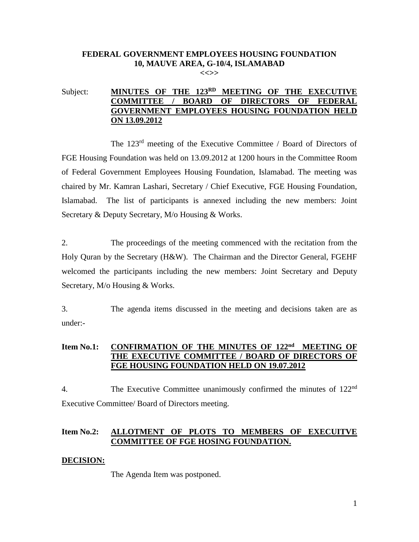# **FEDERAL GOVERNMENT EMPLOYEES HOUSING FOUNDATION 10, MAUVE AREA, G-10/4, ISLAMABAD**

**<<>>**

## Subject: **MINUTES OF THE 123<sup>RD</sup> MEETING OF THE EXECUTIVE COMMITTEE / BOARD OF DIRECTORS OF FEDERAL GOVERNMENT EMPLOYEES HOUSING FOUNDATION HELD ON 13.09.2012**

The 123<sup>rd</sup> meeting of the Executive Committee / Board of Directors of FGE Housing Foundation was held on 13.09.2012 at 1200 hours in the Committee Room of Federal Government Employees Housing Foundation, Islamabad. The meeting was chaired by Mr. Kamran Lashari, Secretary / Chief Executive, FGE Housing Foundation, Islamabad. The list of participants is annexed including the new members: Joint Secretary & Deputy Secretary, M/o Housing & Works.

2. The proceedings of the meeting commenced with the recitation from the Holy Quran by the Secretary (H&W). The Chairman and the Director General, FGEHF welcomed the participants including the new members: Joint Secretary and Deputy Secretary, M/o Housing & Works.

3. The agenda items discussed in the meeting and decisions taken are as under:-

## **Item No.1: CONFIRMATION OF THE MINUTES OF 122nd MEETING OF THE EXECUTIVE COMMITTEE / BOARD OF DIRECTORS OF FGE HOUSING FOUNDATION HELD ON 19.07.2012**

4. The Executive Committee unanimously confirmed the minutes of 122<sup>nd</sup> Executive Committee/ Board of Directors meeting.

## **Item No.2: ALLOTMENT OF PLOTS TO MEMBERS OF EXECUITVE COMMITTEE OF FGE HOSING FOUNDATION.**

#### **DECISION:**

The Agenda Item was postponed.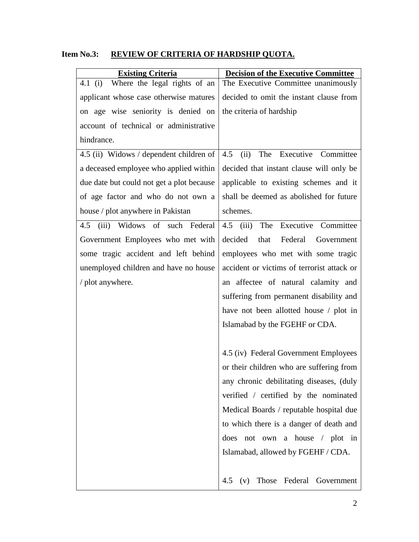| <b>Item No.3:</b> |  | REVIEW OF CRITERIA OF HARDSHIP QUOTA. |
|-------------------|--|---------------------------------------|
|                   |  |                                       |

| <b>Existing Criteria</b>                  | <b>Decision of the Executive Committee</b> |  |
|-------------------------------------------|--------------------------------------------|--|
| Where the legal rights of an<br>4.1 (i)   | The Executive Committee unanimously        |  |
| applicant whose case otherwise matures    | decided to omit the instant clause from    |  |
| on age wise seniority is denied on        | the criteria of hardship                   |  |
| account of technical or administrative    |                                            |  |
| hindrance.                                |                                            |  |
| 4.5 (ii) Widows / dependent children of   | The<br>Executive Committee<br>4.5<br>(ii)  |  |
| a deceased employee who applied within    | decided that instant clause will only be   |  |
| due date but could not get a plot because | applicable to existing schemes and it      |  |
| of age factor and who do not own a        | shall be deemed as abolished for future    |  |
| house / plot anywhere in Pakistan         | schemes.                                   |  |
| Widows of such Federal<br>(iii)<br>4.5    | The Executive Committee<br>$4.5$ (iii)     |  |
| Government Employees who met with         | decided<br>that<br>Federal<br>Government   |  |
| some tragic accident and left behind      | employees who met with some tragic         |  |
| unemployed children and have no house     | accident or victims of terrorist attack or |  |
| / plot anywhere.                          | an affectee of natural calamity and        |  |
|                                           | suffering from permanent disability and    |  |
|                                           | have not been allotted house / plot in     |  |
|                                           | Islamabad by the FGEHF or CDA.             |  |
|                                           |                                            |  |
|                                           | 4.5 (iv) Federal Government Employees      |  |
|                                           | or their children who are suffering from   |  |
|                                           | any chronic debilitating diseases, (duly   |  |
|                                           | verified / certified by the nominated      |  |
|                                           | Medical Boards / reputable hospital due    |  |
|                                           | to which there is a danger of death and    |  |
|                                           | not own a house / plot in<br>does          |  |
|                                           | Islamabad, allowed by FGEHF / CDA.         |  |
|                                           |                                            |  |
|                                           | Those Federal Government<br>4.5<br>(v)     |  |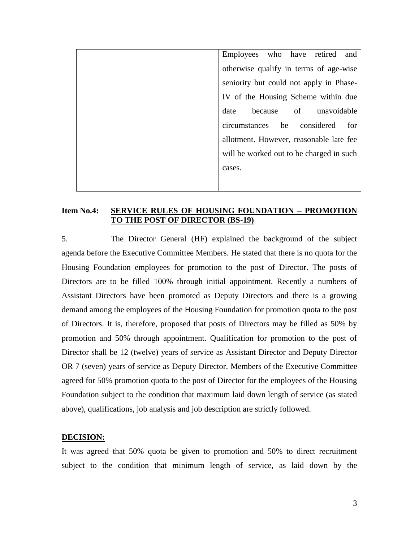Employees who have retired and otherwise qualify in terms of age-wise seniority but could not apply in Phase-IV of the Housing Scheme within due date because of unavoidable circumstances be considered for allotment. However, reasonable late fee will be worked out to be charged in such cases.

## **Item No.4: SERVICE RULES OF HOUSING FOUNDATION – PROMOTION TO THE POST OF DIRECTOR (BS-19)**

5. The Director General (HF) explained the background of the subject agenda before the Executive Committee Members. He stated that there is no quota for the Housing Foundation employees for promotion to the post of Director. The posts of Directors are to be filled 100% through initial appointment. Recently a numbers of Assistant Directors have been promoted as Deputy Directors and there is a growing demand among the employees of the Housing Foundation for promotion quota to the post of Directors. It is, therefore, proposed that posts of Directors may be filled as 50% by promotion and 50% through appointment. Qualification for promotion to the post of Director shall be 12 (twelve) years of service as Assistant Director and Deputy Director OR 7 (seven) years of service as Deputy Director. Members of the Executive Committee agreed for 50% promotion quota to the post of Director for the employees of the Housing Foundation subject to the condition that maximum laid down length of service (as stated above), qualifications, job analysis and job description are strictly followed.

### **DECISION:**

It was agreed that 50% quota be given to promotion and 50% to direct recruitment subject to the condition that minimum length of service, as laid down by the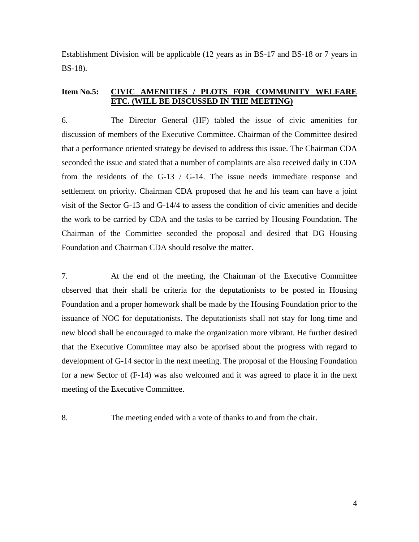Establishment Division will be applicable (12 years as in BS-17 and BS-18 or 7 years in BS-18).

### **Item No.5: CIVIC AMENITIES / PLOTS FOR COMMUNITY WELFARE ETC. (WILL BE DISCUSSED IN THE MEETING)**

6. The Director General (HF) tabled the issue of civic amenities for discussion of members of the Executive Committee. Chairman of the Committee desired that a performance oriented strategy be devised to address this issue. The Chairman CDA seconded the issue and stated that a number of complaints are also received daily in CDA from the residents of the G-13 / G-14. The issue needs immediate response and settlement on priority. Chairman CDA proposed that he and his team can have a joint visit of the Sector G-13 and G-14/4 to assess the condition of civic amenities and decide the work to be carried by CDA and the tasks to be carried by Housing Foundation. The Chairman of the Committee seconded the proposal and desired that DG Housing Foundation and Chairman CDA should resolve the matter.

7. At the end of the meeting, the Chairman of the Executive Committee observed that their shall be criteria for the deputationists to be posted in Housing Foundation and a proper homework shall be made by the Housing Foundation prior to the issuance of NOC for deputationists. The deputationists shall not stay for long time and new blood shall be encouraged to make the organization more vibrant. He further desired that the Executive Committee may also be apprised about the progress with regard to development of G-14 sector in the next meeting. The proposal of the Housing Foundation for a new Sector of (F-14) was also welcomed and it was agreed to place it in the next meeting of the Executive Committee.

8. The meeting ended with a vote of thanks to and from the chair.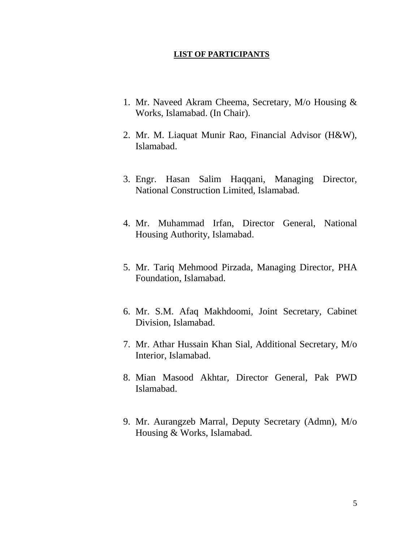#### **LIST OF PARTICIPANTS**

- 1. Mr. Naveed Akram Cheema, Secretary, M/o Housing & Works, Islamabad. (In Chair).
- 2. Mr. M. Liaquat Munir Rao, Financial Advisor (H&W), Islamabad.
- 3. Engr. Hasan Salim Haqqani, Managing Director, National Construction Limited, Islamabad.
- 4. Mr. Muhammad Irfan, Director General, National Housing Authority, Islamabad.
- 5. Mr. Tariq Mehmood Pirzada, Managing Director, PHA Foundation, Islamabad.
- 6. Mr. S.M. Afaq Makhdoomi, Joint Secretary, Cabinet Division, Islamabad.
- 7. Mr. Athar Hussain Khan Sial, Additional Secretary, M/o Interior, Islamabad.
- 8. Mian Masood Akhtar, Director General, Pak PWD Islamabad.
- 9. Mr. Aurangzeb Marral, Deputy Secretary (Admn), M/o Housing & Works, Islamabad.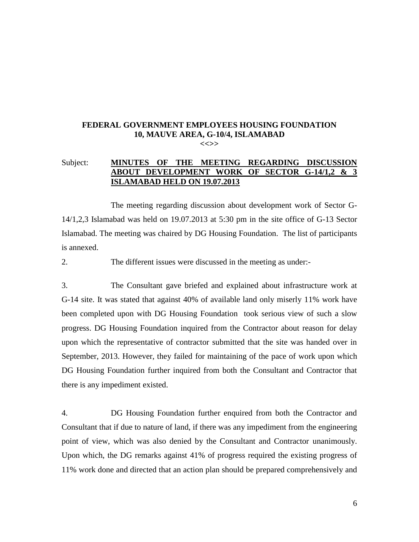#### **FEDERAL GOVERNMENT EMPLOYEES HOUSING FOUNDATION 10, MAUVE AREA, G-10/4, ISLAMABAD <<>>**

## Subject: **MINUTES OF THE MEETING REGARDING DISCUSSION ABOUT DEVELOPMENT WORK OF SECTOR G-14/1,2 & 3 ISLAMABAD HELD ON 19.07.2013**

The meeting regarding discussion about development work of Sector G-14/1,2,3 Islamabad was held on 19.07.2013 at 5:30 pm in the site office of G-13 Sector Islamabad. The meeting was chaired by DG Housing Foundation. The list of participants is annexed.

2. The different issues were discussed in the meeting as under:-

3. The Consultant gave briefed and explained about infrastructure work at G-14 site. It was stated that against 40% of available land only miserly 11% work have been completed upon with DG Housing Foundation took serious view of such a slow progress. DG Housing Foundation inquired from the Contractor about reason for delay upon which the representative of contractor submitted that the site was handed over in September, 2013. However, they failed for maintaining of the pace of work upon which DG Housing Foundation further inquired from both the Consultant and Contractor that there is any impediment existed.

4. DG Housing Foundation further enquired from both the Contractor and Consultant that if due to nature of land, if there was any impediment from the engineering point of view, which was also denied by the Consultant and Contractor unanimously. Upon which, the DG remarks against 41% of progress required the existing progress of 11% work done and directed that an action plan should be prepared comprehensively and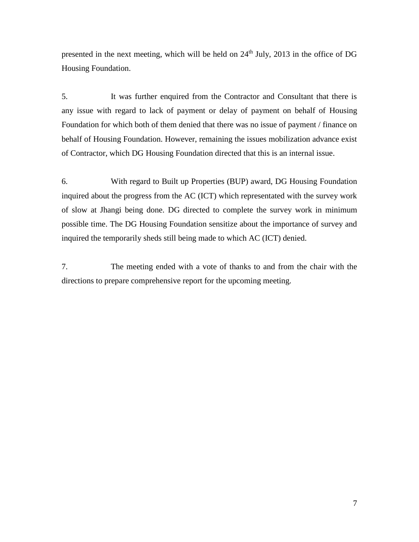presented in the next meeting, which will be held on  $24<sup>th</sup>$  July, 2013 in the office of DG Housing Foundation.

5. It was further enquired from the Contractor and Consultant that there is any issue with regard to lack of payment or delay of payment on behalf of Housing Foundation for which both of them denied that there was no issue of payment / finance on behalf of Housing Foundation. However, remaining the issues mobilization advance exist of Contractor, which DG Housing Foundation directed that this is an internal issue.

6. With regard to Built up Properties (BUP) award, DG Housing Foundation inquired about the progress from the AC (ICT) which representated with the survey work of slow at Jhangi being done. DG directed to complete the survey work in minimum possible time. The DG Housing Foundation sensitize about the importance of survey and inquired the temporarily sheds still being made to which AC (ICT) denied.

7. The meeting ended with a vote of thanks to and from the chair with the directions to prepare comprehensive report for the upcoming meeting.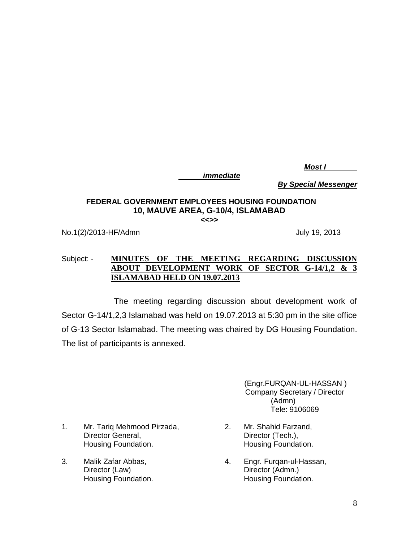*Most I*

*immediate*

*By Special Messenger*

# **FEDERAL GOVERNMENT EMPLOYEES HOUSING FOUNDATION 10, MAUVE AREA, G-10/4, ISLAMABAD**

**<<>>**

No.1(2)/2013-HF/Admn July 19, 2013

# Subject: - **MINUTES OF THE MEETING REGARDING DISCUSSION ABOUT DEVELOPMENT WORK OF SECTOR G-14/1,2 & 3 ISLAMABAD HELD ON 19.07.2013**

 The meeting regarding discussion about development work of Sector G-14/1,2,3 Islamabad was held on 19.07.2013 at 5:30 pm in the site office of G-13 Sector Islamabad. The meeting was chaired by DG Housing Foundation. The list of participants is annexed.

> (Engr.FURQAN-UL-HASSAN ) Company Secretary / Director (Admn) Tele: 9106069

- 1. Mr. Tariq Mehmood Pirzada, Director General, Housing Foundation.
- 3. Malik Zafar Abbas, Director (Law) Housing Foundation.
- 2. Mr. Shahid Farzand, Director (Tech.), Housing Foundation.
- 4. Engr. Furqan-ul-Hassan, Director (Admn.) Housing Foundation.